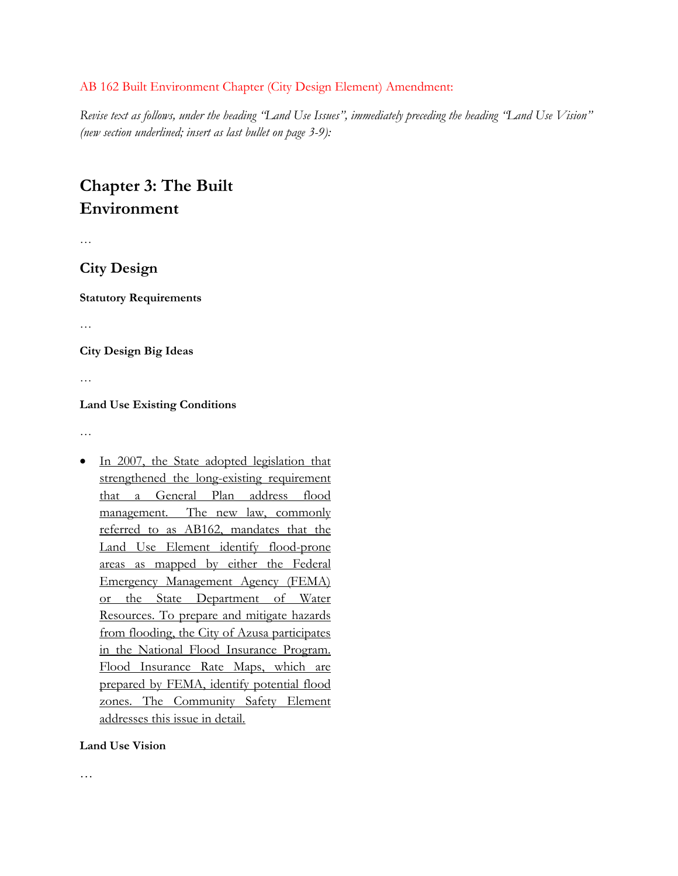#### AB 162 Built Environment Chapter (City Design Element) Amendment:

*Revise text as follows, under the heading "Land Use Issues", immediately preceding the heading "Land Use Vision" (new section underlined; insert as last bullet on page 3-9):* 

# **Chapter 3: The Built Environment**

…

## **City Design**

**Statutory Requirements** 

…

**City Design Big Ideas** 

…

#### **Land Use Existing Conditions**

…

In 2007, the State adopted legislation that strengthened the long-existing requirement that a General Plan address flood management. The new law, commonly referred to as AB162, mandates that the Land Use Element identify flood-prone areas as mapped by either the Federal Emergency Management Agency (FEMA) or the State Department of Water Resources. To prepare and mitigate hazards from flooding, the City of Azusa participates in the National Flood Insurance Program. Flood Insurance Rate Maps, which are prepared by FEMA, identify potential flood zones. The Community Safety Element addresses this issue in detail.

#### **Land Use Vision**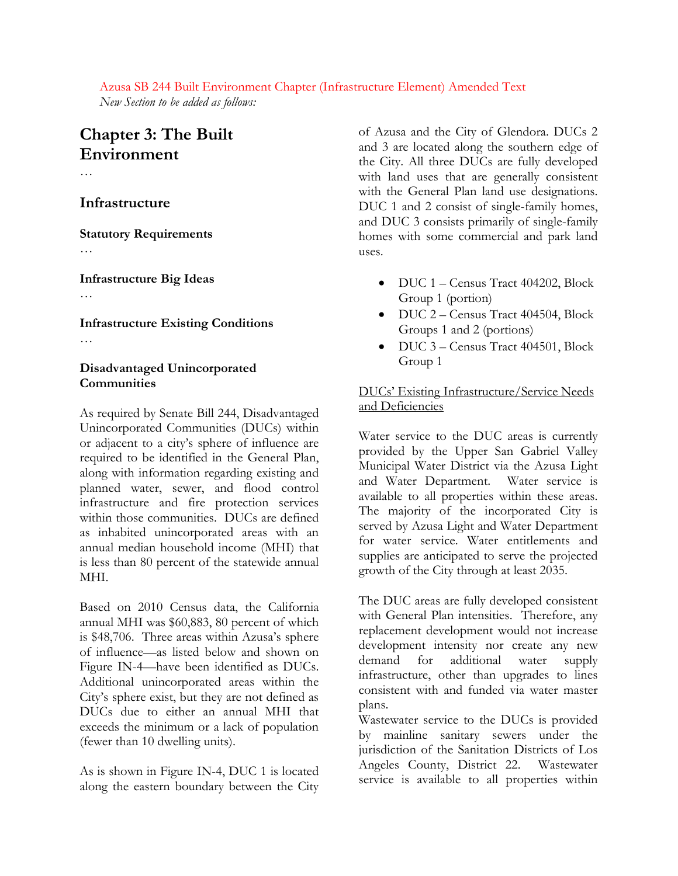Azusa SB 244 Built Environment Chapter (Infrastructure Element) Amended Text *New Section to be added as follows:* 

# **Chapter 3: The Built Environment**

…

#### **Infrastructure**

**Statutory Requirements** 

…

**Infrastructure Big Ideas** 

…

**Infrastructure Existing Conditions**  …

### **Disadvantaged Unincorporated Communities**

As required by Senate Bill 244, Disadvantaged Unincorporated Communities (DUCs) within or adjacent to a city's sphere of influence are required to be identified in the General Plan, along with information regarding existing and planned water, sewer, and flood control infrastructure and fire protection services within those communities. DUCs are defined as inhabited unincorporated areas with an annual median household income (MHI) that is less than 80 percent of the statewide annual MHI.

Based on 2010 Census data, the California annual MHI was \$60,883, 80 percent of which is \$48,706. Three areas within Azusa's sphere of influence—as listed below and shown on Figure IN-4—have been identified as DUCs. Additional unincorporated areas within the City's sphere exist, but they are not defined as DUCs due to either an annual MHI that exceeds the minimum or a lack of population (fewer than 10 dwelling units).

As is shown in Figure IN-4, DUC 1 is located along the eastern boundary between the City of Azusa and the City of Glendora. DUCs 2 and 3 are located along the southern edge of the City. All three DUCs are fully developed with land uses that are generally consistent with the General Plan land use designations. DUC 1 and 2 consist of single-family homes, and DUC 3 consists primarily of single-family homes with some commercial and park land uses.

- DUC 1 Census Tract 404202, Block Group 1 (portion)
- DUC 2 Census Tract 404504, Block Groups 1 and 2 (portions)
- DUC 3 Census Tract 404501, Block Group 1

### DUCs' Existing Infrastructure/Service Needs and Deficiencies

Water service to the DUC areas is currently provided by the Upper San Gabriel Valley Municipal Water District via the Azusa Light and Water Department. Water service is available to all properties within these areas. The majority of the incorporated City is served by Azusa Light and Water Department for water service. Water entitlements and supplies are anticipated to serve the projected growth of the City through at least 2035.

The DUC areas are fully developed consistent with General Plan intensities. Therefore, any replacement development would not increase development intensity nor create any new demand for additional water supply infrastructure, other than upgrades to lines consistent with and funded via water master plans.

Wastewater service to the DUCs is provided by mainline sanitary sewers under the jurisdiction of the Sanitation Districts of Los Angeles County, District 22. Wastewater service is available to all properties within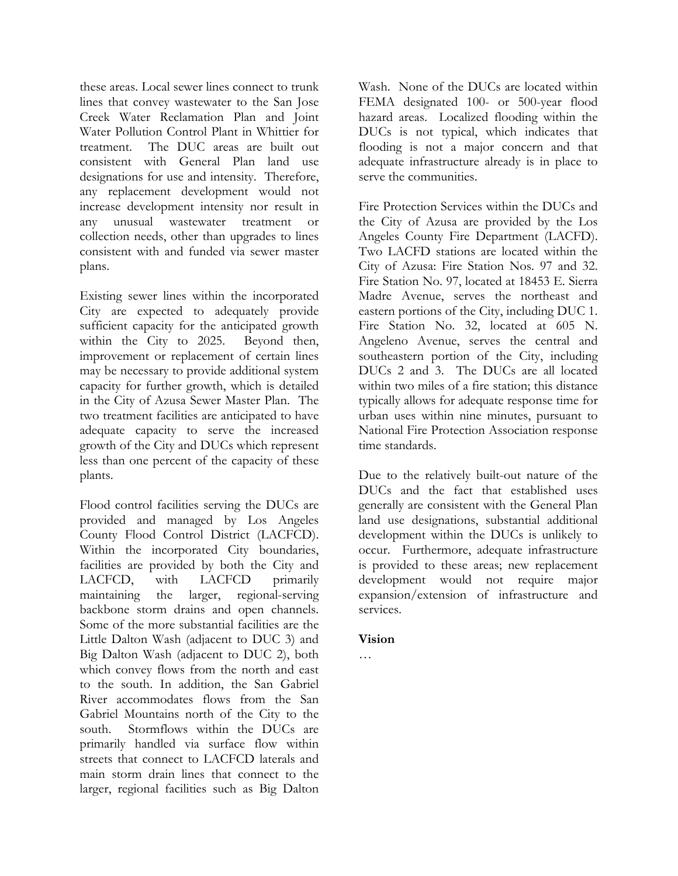these areas. Local sewer lines connect to trunk lines that convey wastewater to the San Jose Creek Water Reclamation Plan and Joint Water Pollution Control Plant in Whittier for treatment. The DUC areas are built out consistent with General Plan land use designations for use and intensity. Therefore, any replacement development would not increase development intensity nor result in any unusual wastewater treatment or collection needs, other than upgrades to lines consistent with and funded via sewer master plans.

Existing sewer lines within the incorporated City are expected to adequately provide sufficient capacity for the anticipated growth within the City to 2025. Beyond then, improvement or replacement of certain lines may be necessary to provide additional system capacity for further growth, which is detailed in the City of Azusa Sewer Master Plan. The two treatment facilities are anticipated to have adequate capacity to serve the increased growth of the City and DUCs which represent less than one percent of the capacity of these plants.

Flood control facilities serving the DUCs are provided and managed by Los Angeles County Flood Control District (LACFCD). Within the incorporated City boundaries, facilities are provided by both the City and LACFCD, with LACFCD primarily maintaining the larger, regional-serving backbone storm drains and open channels. Some of the more substantial facilities are the Little Dalton Wash (adjacent to DUC 3) and Big Dalton Wash (adjacent to DUC 2), both which convey flows from the north and east to the south. In addition, the San Gabriel River accommodates flows from the San Gabriel Mountains north of the City to the south. Stormflows within the DUCs are primarily handled via surface flow within streets that connect to LACFCD laterals and main storm drain lines that connect to the larger, regional facilities such as Big Dalton

Wash. None of the DUCs are located within FEMA designated 100- or 500-year flood hazard areas. Localized flooding within the DUCs is not typical, which indicates that flooding is not a major concern and that adequate infrastructure already is in place to serve the communities.

Fire Protection Services within the DUCs and the City of Azusa are provided by the Los Angeles County Fire Department (LACFD). Two LACFD stations are located within the City of Azusa: Fire Station Nos. 97 and 32. Fire Station No. 97, located at 18453 E. Sierra Madre Avenue, serves the northeast and eastern portions of the City, including DUC 1. Fire Station No. 32, located at 605 N. Angeleno Avenue, serves the central and southeastern portion of the City, including DUCs 2 and 3. The DUCs are all located within two miles of a fire station; this distance typically allows for adequate response time for urban uses within nine minutes, pursuant to National Fire Protection Association response time standards.

Due to the relatively built-out nature of the DUCs and the fact that established uses generally are consistent with the General Plan land use designations, substantial additional development within the DUCs is unlikely to occur. Furthermore, adequate infrastructure is provided to these areas; new replacement development would not require major expansion/extension of infrastructure and services.

#### **Vision**

…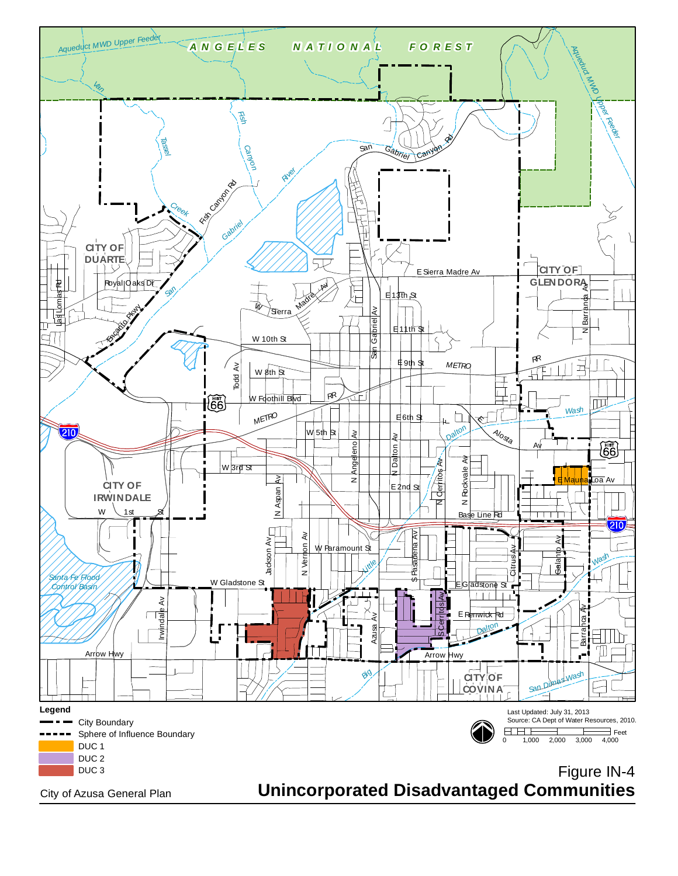

City of Azusa General Plan

# **Unincorporated Disadvantaged Communities**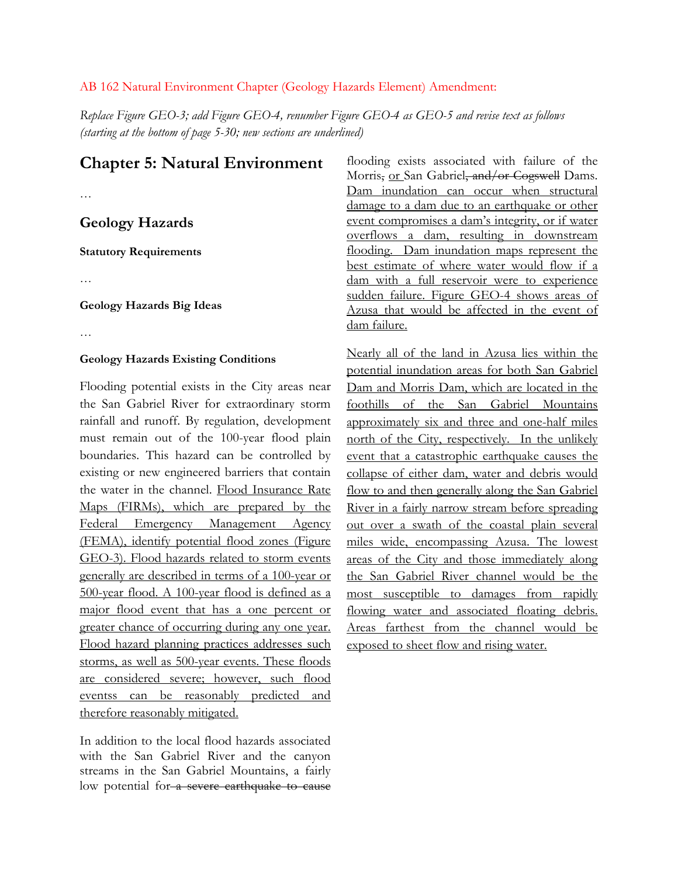#### AB 162 Natural Environment Chapter (Geology Hazards Element) Amendment:

*Replace Figure GEO-3; add Figure GEO-4, renumber Figure GEO-4 as GEO-5 and revise text as follows (starting at the bottom of page 5-30; new sections are underlined)* 

## **Chapter 5: Natural Environment**

…

## **Geology Hazards**

**Statutory Requirements** 

…

#### **Geology Hazards Big Ideas**

…

#### **Geology Hazards Existing Conditions**

Flooding potential exists in the City areas near the San Gabriel River for extraordinary storm rainfall and runoff. By regulation, development must remain out of the 100-year flood plain boundaries. This hazard can be controlled by existing or new engineered barriers that contain the water in the channel. Flood Insurance Rate Maps (FIRMs), which are prepared by the Federal Emergency Management Agency (FEMA), identify potential flood zones (Figure GEO-3). Flood hazards related to storm events generally are described in terms of a 100-year or 500-year flood. A 100-year flood is defined as a major flood event that has a one percent or greater chance of occurring during any one year. Flood hazard planning practices addresses such storms, as well as 500-year events. These floods are considered severe; however, such flood eventss can be reasonably predicted and therefore reasonably mitigated.

In addition to the local flood hazards associated with the San Gabriel River and the canyon streams in the San Gabriel Mountains, a fairly low potential for a severe earthquake to cause

flooding exists associated with failure of the Morris, or San Gabriel, and/or Cogswell Dams. Dam inundation can occur when structural damage to a dam due to an earthquake or other event compromises a dam's integrity, or if water overflows a dam, resulting in downstream flooding. Dam inundation maps represent the best estimate of where water would flow if a dam with a full reservoir were to experience sudden failure. Figure GEO-4 shows areas of Azusa that would be affected in the event of dam failure.

Nearly all of the land in Azusa lies within the potential inundation areas for both San Gabriel Dam and Morris Dam, which are located in the foothills of the San Gabriel Mountains approximately six and three and one-half miles north of the City, respectively. In the unlikely event that a catastrophic earthquake causes the collapse of either dam, water and debris would flow to and then generally along the San Gabriel River in a fairly narrow stream before spreading out over a swath of the coastal plain several miles wide, encompassing Azusa. The lowest areas of the City and those immediately along the San Gabriel River channel would be the most susceptible to damages from rapidly flowing water and associated floating debris. Areas farthest from the channel would be exposed to sheet flow and rising water.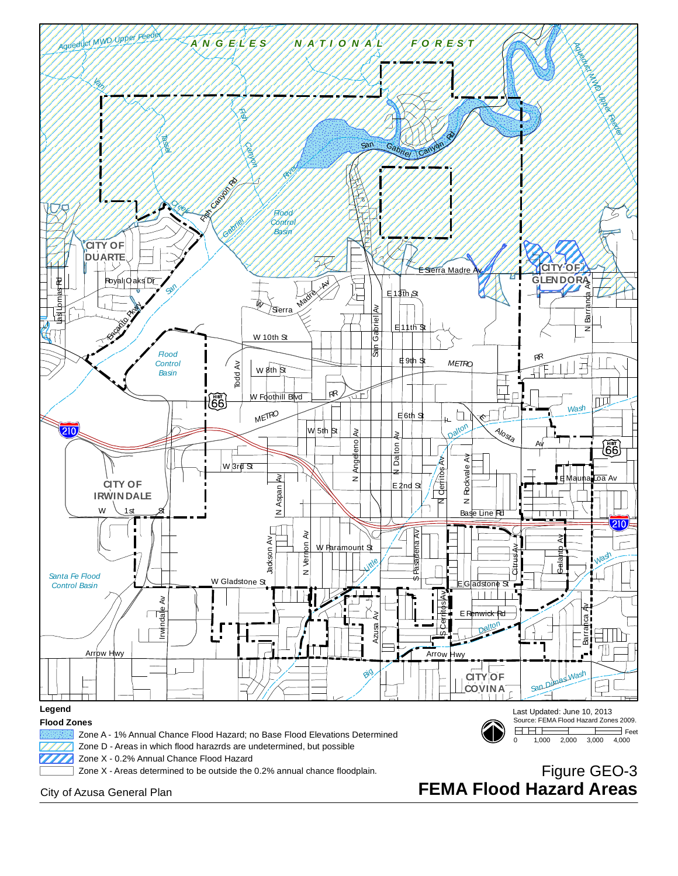

City of Azusa General Plan

# **FEMA Flood Hazard Areas**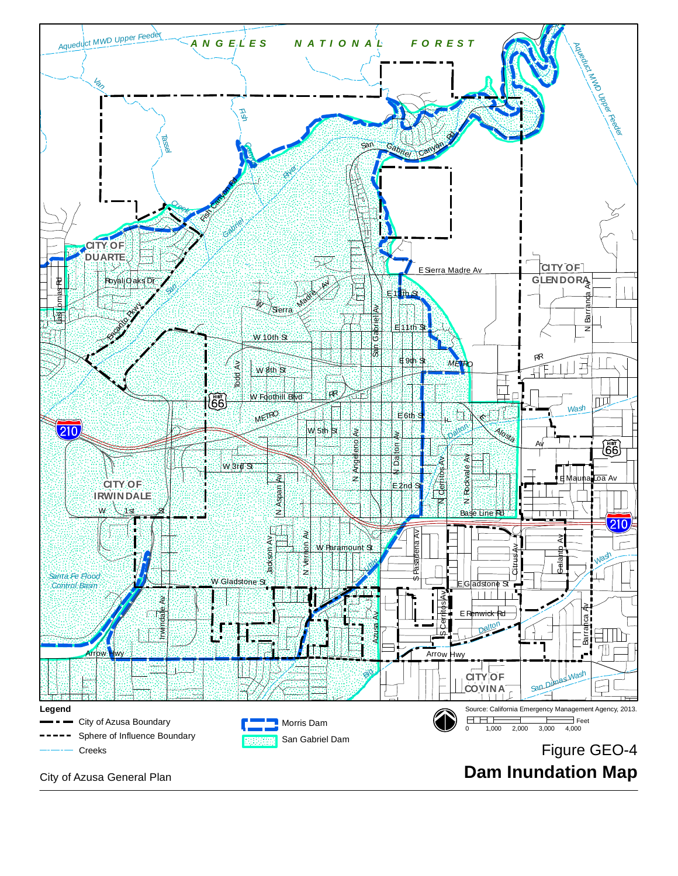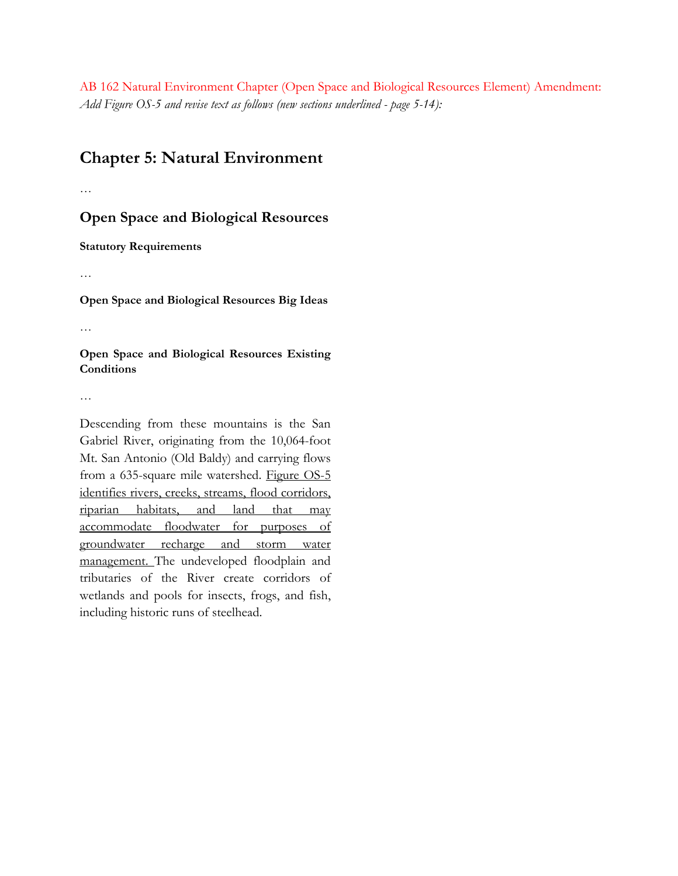AB 162 Natural Environment Chapter (Open Space and Biological Resources Element) Amendment: *Add Figure OS-5 and revise text as follows (new sections underlined - page 5-14):* 

## **Chapter 5: Natural Environment**

…

**Open Space and Biological Resources** 

**Statutory Requirements** 

…

**Open Space and Biological Resources Big Ideas** 

…

**Open Space and Biological Resources Existing Conditions** 

…

Descending from these mountains is the San Gabriel River, originating from the 10,064-foot Mt. San Antonio (Old Baldy) and carrying flows from a 635-square mile watershed. Figure OS-5 identifies rivers, creeks, streams, flood corridors, riparian habitats, and land that may accommodate floodwater for purposes of groundwater recharge and storm water management. The undeveloped floodplain and tributaries of the River create corridors of wetlands and pools for insects, frogs, and fish, including historic runs of steelhead.